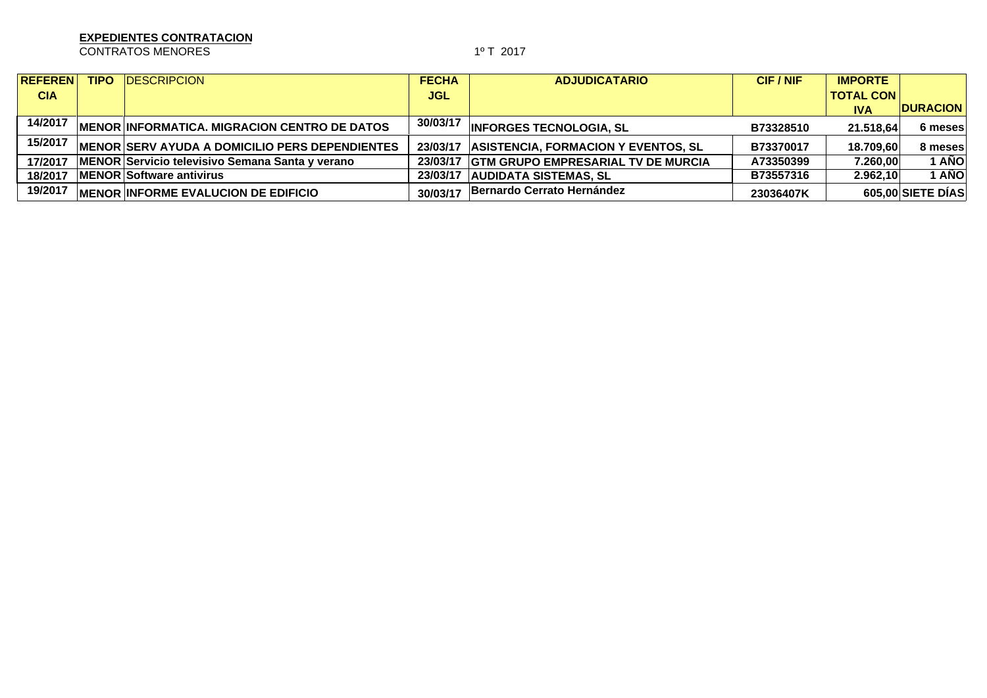CONTRATOS MENORES 1º T 2017

| <b>REFEREN</b> | <b>TIPO</b> | <b>IDESCRIPCION</b>                                    | <b>FECHA</b> | <b>ADJUDICATARIO</b>                        | CIF / NIF | <b>IMPORTE</b>   |                   |
|----------------|-------------|--------------------------------------------------------|--------------|---------------------------------------------|-----------|------------------|-------------------|
| <b>CIA</b>     |             |                                                        | <b>JGL</b>   |                                             |           | <b>TOTAL CON</b> |                   |
|                |             |                                                        |              |                                             |           | <b>IVA</b>       | <b>DURACION</b>   |
| 14/2017        |             | MENOR INFORMATICA. MIGRACION CENTRO DE DATOS           | 30/03/17     | <b>INFORGES TECNOLOGIA, SL</b>              | B73328510 | 21.518.64        | 6 meses           |
| 15/2017        |             | <b>IMENOR SERV AYUDA A DOMICILIO PERS DEPENDIENTES</b> | 23/03/17     | <b>ASISTENCIA, FORMACION Y EVENTOS, SL</b>  | B73370017 | 18.709.60        | 8 meses           |
| 17/2017        |             | MENOR Servicio televisivo Semana Santa y verano        |              | 23/03/17 GTM GRUPO EMPRESARIAL TV DE MURCIA | A73350399 | 7.260,00         | I AÑO             |
| 18/2017        |             | <b>MENOR Software antivirus</b>                        |              | 23/03/17 AUDIDATA SISTEMAS, SL              | B73557316 | 2.962,10         | AÑO               |
| 19/2017        |             | <b>MENOR INFORME EVALUCION DE EDIFICIO</b>             | 30/03/17     | Bernardo Cerrato Hernández                  | 23036407K |                  | 605,00 SIETE DIAS |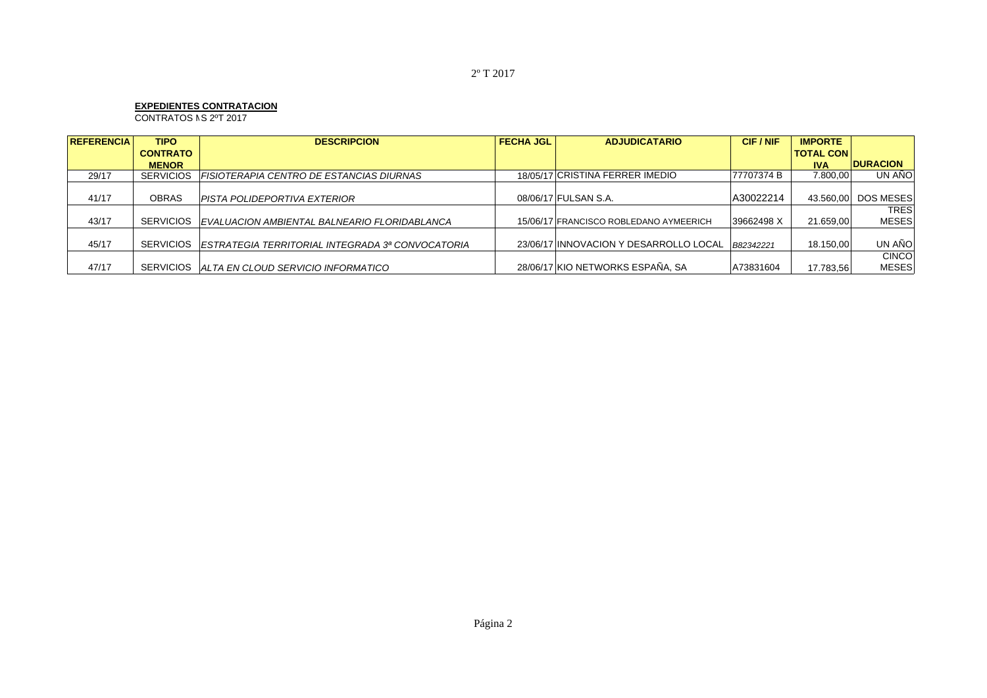$CONTRATOS NS 2^oT 2017$ 

| <b>REFERENCIA</b> | <b>TIPO</b>      | <b>DESCRIPCION</b>                                         | <b>FECHA JGL</b> | <b>ADJUDICATARIO</b>                   | CIF/NIF    | <b>IMPORTE</b>   |                     |
|-------------------|------------------|------------------------------------------------------------|------------------|----------------------------------------|------------|------------------|---------------------|
|                   | <b>CONTRATO</b>  |                                                            |                  |                                        |            | <b>TOTAL CON</b> |                     |
|                   | <b>MENOR</b>     |                                                            |                  |                                        |            | <b>IVA</b>       | <b>DURACION</b>     |
| 29/17             | <b>SERVICIOS</b> | <b>FISIOTERAPIA CENTRO DE ESTANCIAS DIURNAS</b>            |                  | 18/05/17 CRISTINA FERRER IMEDIO        | 77707374 B | 7.800.00         | UN AÑO              |
|                   |                  |                                                            |                  |                                        |            |                  |                     |
| 41/17             | <b>OBRAS</b>     | PISTA POLIDEPORTIVA EXTERIOR                               |                  | 08/06/17 FULSAN S.A.                   | A30022214  |                  | 43.560.00 DOS MESES |
|                   |                  |                                                            |                  |                                        |            |                  | <b>TRES</b>         |
| 43/17             |                  | SERVICIOS EVALUACION AMBIENTAL BALNEARIO FLORIDABLANCA     |                  | 15/06/17 FRANCISCO ROBLEDANO AYMEERICH | 39662498 X | 21.659.00        | <b>MESES</b>        |
|                   |                  |                                                            |                  |                                        |            |                  |                     |
| 45/17             |                  | SERVICIOS ESTRATEGIA TERRITORIAL INTEGRADA 3ª CONVOCATORIA |                  | 23/06/17 INNOVACION Y DESARROLLO LOCAL | B82342221  | 18.150,00        | UN AÑO              |
|                   |                  |                                                            |                  |                                        |            |                  | <b>CINCO</b>        |
| 47/17             |                  | SERVICIOS ALTA EN CLOUD SERVICIO INFORMATICO               |                  | 28/06/17 KIO NETWORKS ESPAÑA, SA       | A73831604  | 17.783.56        | <b>MESES</b>        |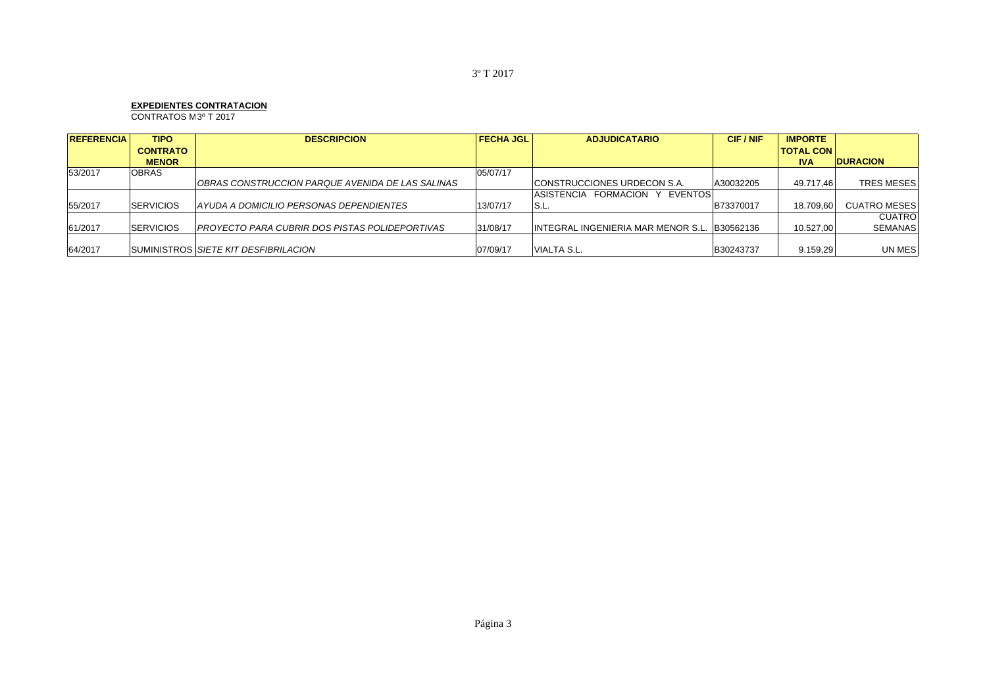$COMTRATOS M3<sup>o</sup> T 2017$ 

| <b>REFERENCIA</b> | <b>TIPO</b>      | <b>DESCRIPCION</b>                                     | <b>FECHA JGL</b> | <b>ADJUDICATARIO</b>                         | CIF / NIF | <b>IMPORTE</b>   |                     |
|-------------------|------------------|--------------------------------------------------------|------------------|----------------------------------------------|-----------|------------------|---------------------|
|                   | <b>CONTRATO</b>  |                                                        |                  |                                              |           | <b>TOTAL CON</b> |                     |
|                   | <b>MENOR</b>     |                                                        |                  |                                              |           | <b>IVA</b>       | <b>DURACION</b>     |
| 53/2017           | <b>OBRAS</b>     |                                                        | 05/07/17         |                                              |           |                  |                     |
|                   |                  | OBRAS CONSTRUCCION PARQUE AVENIDA DE LAS SALINAS       |                  | <b>CONSTRUCCIONES URDECON S.A.</b>           | A30032205 | 49.717.46        | <b>TRES MESES</b>   |
|                   |                  |                                                        |                  | ASISTENCIA FORMACION Y EVENTOSI              |           |                  |                     |
| 55/2017           | <b>SERVICIOS</b> | AYUDA A DOMICILIO PERSONAS DEPENDIENTES                | 13/07/17         | <b>S.L</b>                                   | B73370017 | 18.709.60        | <b>CUATRO MESES</b> |
|                   |                  |                                                        |                  |                                              |           |                  | <b>CUATRO</b>       |
| 61/2017           | <b>SERVICIOS</b> | <b>IPROYECTO PARA CUBRIR DOS PISTAS POLIDEPORTIVAS</b> | 31/08/17         | INTEGRAL INGENIERIA MAR MENOR S.L. B30562136 |           | 10.527.00        | <b>SEMANAS</b>      |
|                   |                  |                                                        |                  |                                              |           |                  |                     |
| 64/2017           |                  | SUMINISTROS SIETE KIT DESFIBRILACION                   | 07/09/17         | <b>VIALTA S.L.</b>                           | B30243737 | 9.159.29         | UN MES              |